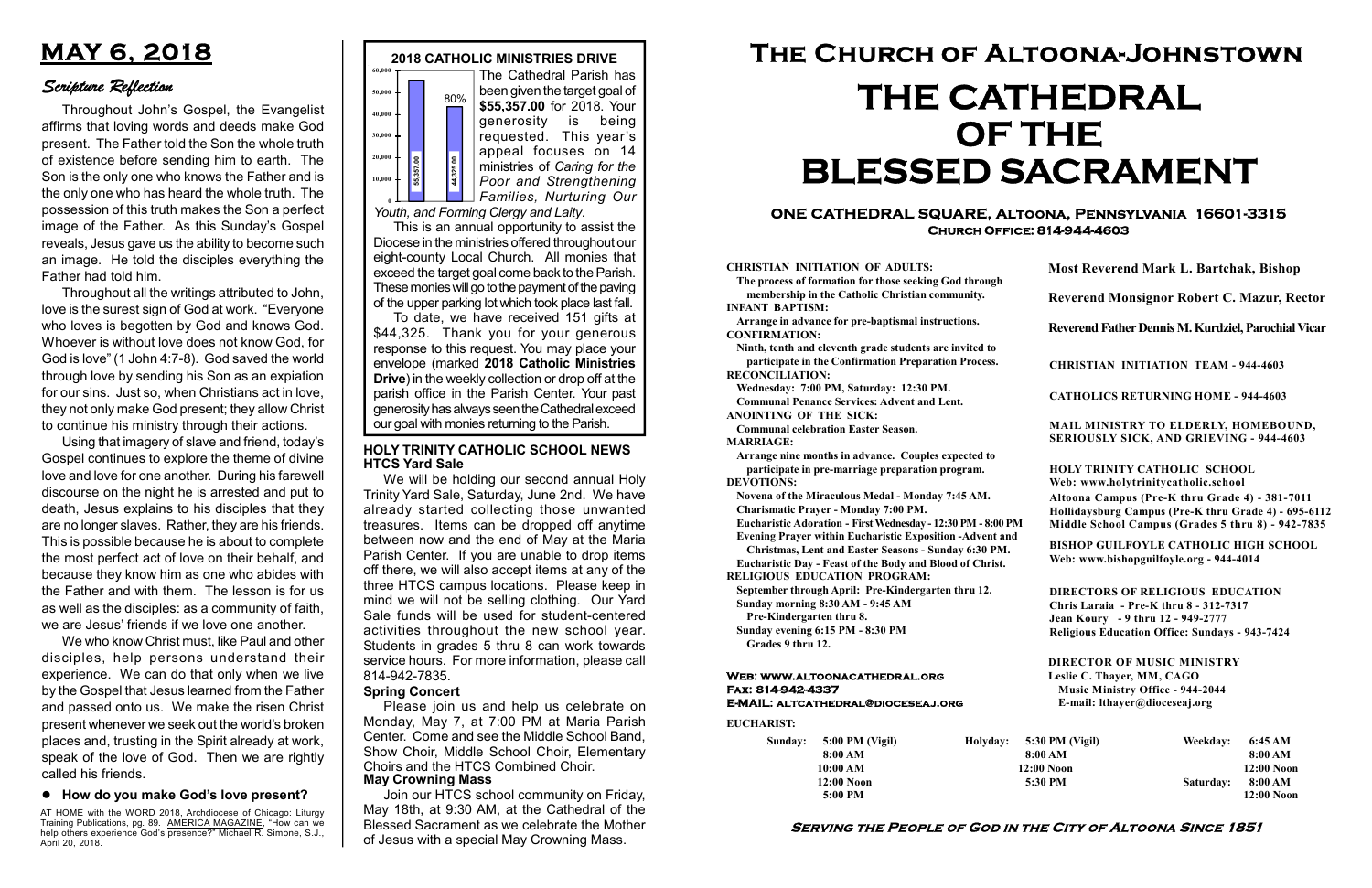#### Serving the People of God in the City of Altoona Since 1851

Sunday: 5:00 PM (Vigil) 8:00 AM 10:00 AM 12:00 Noon 5:00 PM

Holyday:

#### Web: www.altoonacathedral.org Fax: 814-942-4337 E-MAIL: altcathedral@dioceseaj.org

EUCHARIST:

#### CHRISTIAN INITIATION OF ADULTS:

The process of formation for those seeking God through membership in the Catholic Christian community. INFANT BAPTISM:

Arrange in advance for pre-baptismal instructions. CONFIRMATION:

Ninth, tenth and eleventh grade students are invited to participate in the Confirmation Preparation Process. RECONCILIATION:

Wednesday: 7:00 PM, Saturday: 12:30 PM. Communal Penance Services: Advent and Lent.

ANOINTING OF THE SICK:

Communal celebration Easter Season. MARRIAGE:

Arrange nine months in advance. Couples expected to participate in pre-marriage preparation program. DEVOTIONS:

Novena of the Miraculous Medal - Monday 7:45 AM.

Charismatic Prayer - Monday 7:00 PM. Eucharistic Adoration - First Wednesday - 12:30 PM - 8:00 PM

Evening Prayer within Eucharistic Exposition -Advent and

Christmas, Lent and Easter Seasons - Sunday 6:30 PM.

|                       | <b>Most Reverend Mark L. Bartchak, Bishop</b><br>Reverend Monsignor Robert C. Mazur, Rector                                                                                     |           |                         |
|-----------------------|---------------------------------------------------------------------------------------------------------------------------------------------------------------------------------|-----------|-------------------------|
|                       |                                                                                                                                                                                 |           |                         |
|                       | Reverend Father Dennis M. Kurdziel, Parochial Vicar                                                                                                                             |           |                         |
|                       | <b>CHRISTIAN INITIATION TEAM - 944-4603</b>                                                                                                                                     |           |                         |
|                       | <b>CATHOLICS RETURNING HOME - 944-4603</b>                                                                                                                                      |           |                         |
|                       | MAIL MINISTRY TO ELDERLY, HOMEBOUND,<br>SERIOUSLY SICK, AND GRIEVING - 944-4603                                                                                                 |           |                         |
|                       | <b>HOLY TRINITY CATHOLIC SCHOOL</b><br>Web: www.holytrinitycatholic.school                                                                                                      |           |                         |
| М                     | Altoona Campus (Pre-K thru Grade 4) - 381-7011<br>Hollidaysburg Campus (Pre-K thru Grade 4) - 695-6112<br>Middle School Campus (Grades 5 thru 8) - 942-7835                     |           |                         |
| ł                     | <b>BISHOP GUILFOYLE CATHOLIC HIGH SCHOOL</b><br>Web: www.bishopguilfoyle.org - 944-4014                                                                                         |           |                         |
|                       | <b>DIRECTORS OF RELIGIOUS EDUCATION</b><br>Chris Laraia - Pre-K thru 8 - 312-7317<br>Jean Koury - 9 thru 12 - 949-2777<br><b>Religious Education Office: Sundays - 943-7424</b> |           |                         |
|                       | <b>DIRECTOR OF MUSIC MINISTRY</b><br>Leslie C. Thayer, MM, CAGO<br><b>Music Ministry Office - 944-2044</b><br>E-mail: lthayer@dioceseaj.org                                     |           |                         |
| 5:30 PM (Vigil)       |                                                                                                                                                                                 | Weekday:  | 6:45 AM                 |
| 8:00 AM<br>12:00 Noon |                                                                                                                                                                                 |           | 8:00 AM<br>12:00 Noon   |
| 5:30 PM               |                                                                                                                                                                                 | Saturday: | 8:00 AM<br>$12:00$ Noon |
|                       |                                                                                                                                                                                 |           |                         |

Eucharistic Day - Feast of the Body and Blood of Christ.

RELIGIOUS EDUCATION PROGRAM:

September through April: Pre-Kindergarten thru 12. Sunday morning 8:30 AM - 9:45 AM



0 Youth, and Forming Clergy and Laity.

Pre-Kindergarten thru 8.

Sunday evening 6:15 PM - 8:30 PM Grades 9 thru 12.

To date, we have received 151 gifts at \$44,325. Thank you for your generous response to this request. You may place your envelope (marked 2018 Catholic Ministries Drive) in the weekly collection or drop off at the parish office in the Parish Center. Your past generosity has always seen the Cathedral exceed  $\begin{bmatrix}\n\text{F}_{\text{S}}\n\text{F}_{\text{S}}\n\text{F}_{\text{S}}\n\end{bmatrix}\n\begin{bmatrix}\n\text{S}_{\text{S}}\n\text{F}_{\text{S}}\n\text{F}_{\text{S}}\n\end{bmatrix}\n\begin{bmatrix}\n\text{ministries of Caring for the Poor and Strengthening Families, Nurturing Our Families, Nurturing Our Families in the d. 2017.}\n\end{bmatrix}\n\begin{bmatrix}\n\text{F} & \text{F} & \text{F} \\
\text{F} & \text{F} & \text{F} \\
\text{F} & \text{F} & \text{F}$ 

#### ONE CATHEDRAL SQUARE, Altoona, Pennsylvania 16601-3315 Church Office: 814-944-4603

# The Church of Altoona-Johnstown THE CATHEDRAL OF THE BLESSED SACRAMENT

\$55,357.00 for 2018. Your generosity is being requested. This year's appeal focuses on 14 ministries of Caring for the Poor and Strengthening Families, Nurturing Our

This is an annual opportunity to assist the Diocese in the ministries offered throughout our eight-county Local Church. All monies that exceed the target goal come back to the Parish. These monies will go to the payment of the paving of the upper parking lot which took place last fall.

#### HOLY TRINITY CATHOLIC SCHOOL NEWS HTCS Yard Sale

AT HOME with the WORD 2018, Archdiocese of Chicago: Liturgy **THE TRAINING WAS CONSTRUCTED TO A THEFT CALCULATE**, "How can we help others experience God's presence?" Michael R. Simone, S.J., April 20, 2018.

#### Spring Concert

Please join us and help us celebrate on Monday, May 7, at 7:00 PM at Maria Parish Center. Come and see the Middle School Band, Show Choir, Middle School Choir, Elementary Choirs and the HTCS Combined Choir. May Crowning Mass

Join our HTCS school community on Friday, May 18th, at 9:30 AM, at the Cathedral of the Blessed Sacrament as we celebrate the Mother of Jesus with a special May Crowning Mass.

We will be holding our second annual Holy Trinity Yard Sale, Saturday, June 2nd. We have already started collecting those unwanted treasures. Items can be dropped off anytime between now and the end of May at the Maria Parish Center. If you are unable to drop items off there, we will also accept items at any of the three HTCS campus locations. Please keep in mind we will not be selling clothing. Our Yard Sale funds will be used for student-centered activities throughout the new school year. Students in grades 5 thru 8 can work towards service hours. For more information, please call 814-942-7835.

# MAY 6, 2018

### Scripture Reflection

#### How do you make God's love present?

Throughout John's Gospel, the Evangelist affirms that loving words and deeds make God present. The Father told the Son the whole truth of existence before sending him to earth. The Son is the only one who knows the Father and is the only one who has heard the whole truth. The possession of this truth makes the Son a perfect image of the Father. As this Sunday's Gospel reveals, Jesus gave us the ability to become such an image. He told the disciples everything the Father had told him.

Throughout all the writings attributed to John, love is the surest sign of God at work. "Everyone who loves is begotten by God and knows God. Whoever is without love does not know God, for God is love" (1 John 4:7-8). God saved the world through love by sending his Son as an expiation for our sins. Just so, when Christians act in love, they not only make God present; they allow Christ to continue his ministry through their actions.

Using that imagery of slave and friend, today's Gospel continues to explore the theme of divine love and love for one another. During his farewell discourse on the night he is arrested and put to death, Jesus explains to his disciples that they are no longer slaves. Rather, they are his friends. This is possible because he is about to complete the most perfect act of love on their behalf, and because they know him as one who abides with the Father and with them. The lesson is for us as well as the disciples: as a community of faith, we are Jesus' friends if we love one another.

We who know Christ must, like Paul and other disciples, help persons understand their experience. We can do that only when we live by the Gospel that Jesus learned from the Father and passed onto us. We make the risen Christ present whenever we seek out the world's broken places and, trusting in the Spirit already at work, speak of the love of God. Then we are rightly called his friends.